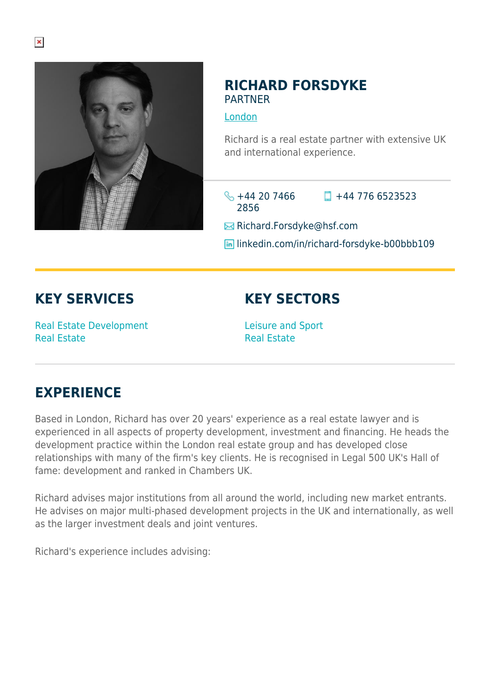

## **RICHARD FORSDYKE** PARTNER

[London](https://www.herbertsmithfreehills.com/lang-es/where-we-work/london)

Richard is a real estate partner with extensive UK and international experience.

 $\frac{1}{2}$  +44 20 7466 2856  $\Box$  +44 776 6523523

**Example Richard.Forsdyke@hsf.com** 

**In linkedin.com/in/richard-forsdyke-b00bbb109** 

## **KEY SERVICES**

Real Estate Development Real Estate

**KEY SECTORS**

Leisure and Sport Real Estate

## **EXPERIENCE**

Based in London, Richard has over 20 years' experience as a real estate lawyer and is experienced in all aspects of property development, investment and financing. He heads the development practice within the London real estate group and has developed close relationships with many of the firm's key clients. He is recognised in Legal 500 UK's Hall of fame: development and ranked in Chambers UK.

Richard advises major institutions from all around the world, including new market entrants. He advises on major multi-phased development projects in the UK and internationally, as well as the larger investment deals and joint ventures.

Richard's experience includes advising: